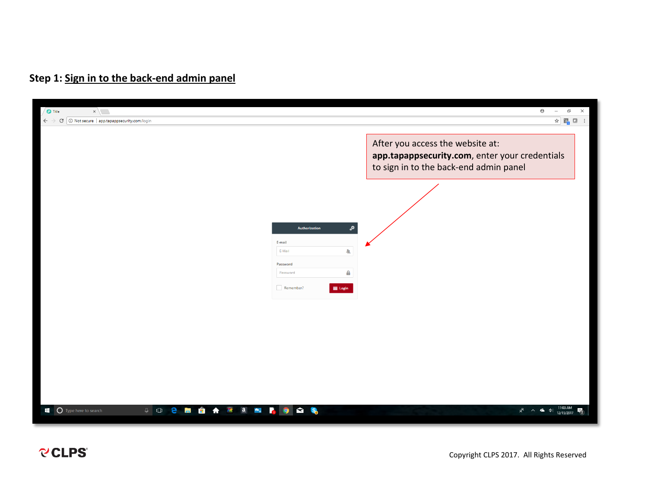## **Step 1: Sign in to the back-end admin panel**

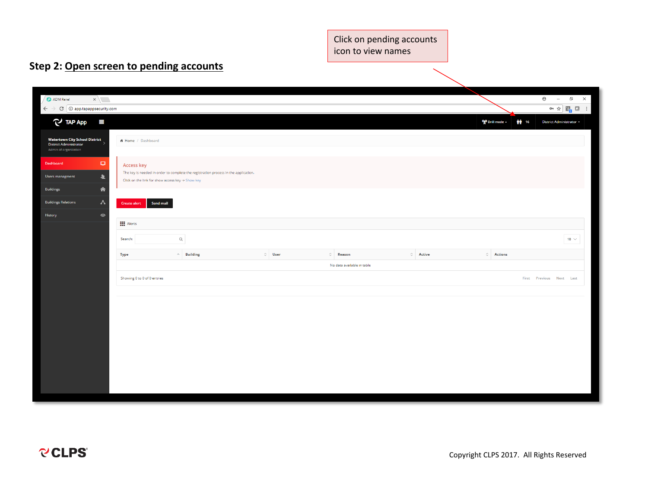Click on pending accounts icon to view names

# **Step 2: Open screen to pending accounts**

| ADM Panel<br>$\mathbf{x}$                                                                       |                                                    |                                                                                     |              |                            |                |                                 | $\Theta$<br>$\Box$<br>$\sim$                                                                                                                                                                                        | $\times$ |
|-------------------------------------------------------------------------------------------------|----------------------------------------------------|-------------------------------------------------------------------------------------|--------------|----------------------------|----------------|---------------------------------|---------------------------------------------------------------------------------------------------------------------------------------------------------------------------------------------------------------------|----------|
| $\epsilon \rightarrow c$   10 app.tapappsecurity.com                                            |                                                    |                                                                                     |              |                            |                |                                 | $\mathbf{O} \cap \mathbf{O}^{\perp}_{\mathbf{G}} \quad \mathbf{E}^{\mathbf{H}}_{\mathbf{G}} \quad \mathbf{E}^{\mathbf{H}}_{\mathbf{G}} \quad \mathbf{E}^{\perp}_{\mathbf{G}} \quad \mathbf{E}^{\perp}_{\mathbf{G}}$ |          |
| $\mathbb{C}$ TAP App<br>$\equiv$                                                                |                                                    |                                                                                     |              |                            |                | (W) Drill mode -<br><b>前</b> 16 | District Administrator +                                                                                                                                                                                            |          |
| <b>Watertown City School District</b><br><b>District Administrator</b><br>Admin of organization | # Home / Dashboard                                 |                                                                                     |              |                            |                |                                 |                                                                                                                                                                                                                     |          |
| $\Box$<br>Dashboard                                                                             | <b>Access key</b>                                  |                                                                                     |              |                            |                |                                 |                                                                                                                                                                                                                     |          |
| 业<br>Users managment                                                                            | Click on the link for show access key -> Show key  | The key is needed in order to complete the registration process in the application. |              |                            |                |                                 |                                                                                                                                                                                                                     |          |
| 舍<br><b>Buildings</b>                                                                           |                                                    |                                                                                     |              |                            |                |                                 |                                                                                                                                                                                                                     |          |
| Λ<br><b>Buildings Relations</b>                                                                 | Send mail<br><b>Create alert</b>                   |                                                                                     |              |                            |                |                                 |                                                                                                                                                                                                                     |          |
| $\bullet$<br>History                                                                            |                                                    |                                                                                     |              |                            |                |                                 |                                                                                                                                                                                                                     |          |
|                                                                                                 | $\mathbf{III}$ Alerts                              |                                                                                     |              |                            |                |                                 |                                                                                                                                                                                                                     |          |
|                                                                                                 | $\hbox{\ensuremath{\mathsf{Q}}\xspace}$<br>Search: |                                                                                     |              |                            |                |                                 | 10 $\vee$                                                                                                                                                                                                           |          |
|                                                                                                 |                                                    |                                                                                     |              |                            |                |                                 |                                                                                                                                                                                                                     |          |
|                                                                                                 | <b>Type</b>                                        | $\land$ Building                                                                    | $\circ$ User | $\circ$ Reason             | $\circ$ Active | $\circ$ Actions                 |                                                                                                                                                                                                                     |          |
|                                                                                                 |                                                    |                                                                                     |              | No data available in table |                |                                 |                                                                                                                                                                                                                     |          |
|                                                                                                 | Showing 0 to 0 of 0 entries                        |                                                                                     |              |                            |                |                                 | First Previous Next Last                                                                                                                                                                                            |          |
|                                                                                                 |                                                    |                                                                                     |              |                            |                |                                 |                                                                                                                                                                                                                     |          |
|                                                                                                 |                                                    |                                                                                     |              |                            |                |                                 |                                                                                                                                                                                                                     |          |
|                                                                                                 |                                                    |                                                                                     |              |                            |                |                                 |                                                                                                                                                                                                                     |          |
|                                                                                                 |                                                    |                                                                                     |              |                            |                |                                 |                                                                                                                                                                                                                     |          |
|                                                                                                 |                                                    |                                                                                     |              |                            |                |                                 |                                                                                                                                                                                                                     |          |
|                                                                                                 |                                                    |                                                                                     |              |                            |                |                                 |                                                                                                                                                                                                                     |          |
|                                                                                                 |                                                    |                                                                                     |              |                            |                |                                 |                                                                                                                                                                                                                     |          |
|                                                                                                 |                                                    |                                                                                     |              |                            |                |                                 |                                                                                                                                                                                                                     |          |
|                                                                                                 |                                                    |                                                                                     |              |                            |                |                                 |                                                                                                                                                                                                                     |          |
|                                                                                                 |                                                    |                                                                                     |              |                            |                |                                 |                                                                                                                                                                                                                     |          |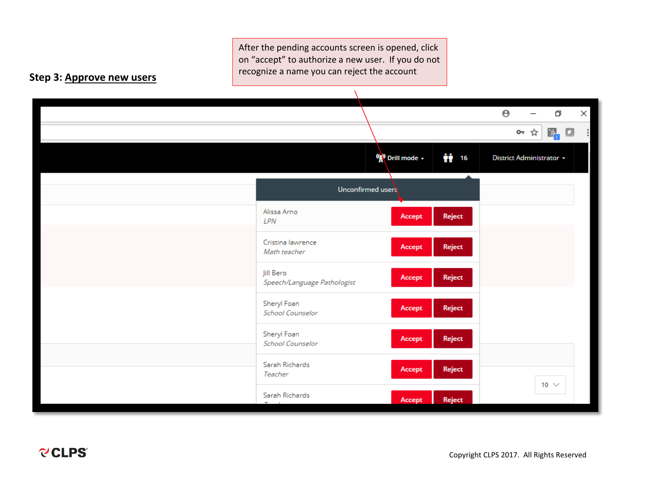After the pending accounts screen is opened, click on "accept" to authorize a new user. If you do not recognize a name you can reject the account

### **Step 3: Approve new users**

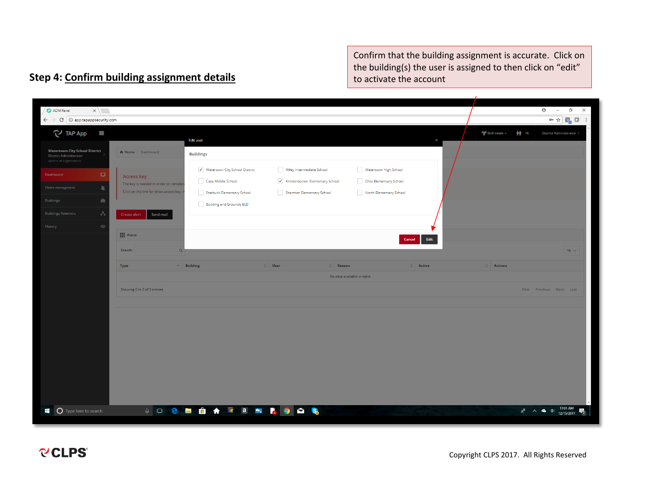Confirm that the building assignment is accurate. Click on the building(s) the user is assigned to then click on "edit" to activate the account

#### ADM Panel  $\times$  $\Theta$  - $\Box$  $\leftarrow$   $\rightarrow$  C  $\boxed{0}$  app.tapappsecurity.com  $\overline{\mathbf{O}}_1 \times \mathbf{O}_2 \quad \overline{\mathbf{E}}_1 \quad \overline{\mathbf{O}}_2 \quad \overline{\mathbf{O}}_3 \quad \overline{\mathbf{O}}_4 \quad \overline{\mathbf{O}}_5$  $\mathbb{C}$  TAP App  $\equiv$ ((g) Drill mode -静 16 District Administrator **Edit user Watertown City School District** Home / Dashboard **Buildings** District Administrator V Watertown City School District Wiley Intermediate School Watertown High School Access key Case Middle School  $\overrightarrow{\checkmark}$  Knickerbocker Elementary School Ohio Elementary School The key is needed in order to con л Click on the link for show access ke Starbuck Elementary School Sherman Elementary School North Elementary School 合 Building and Grounds BLD Z Send mail **III** Alerts Edit Cancel Search Type **Building** Reason Active **Action** No data available in table Showing 0 to 0 of 0 entries  $Las$  $R^2 \sim 4$  (11:01 AM  $R_2$ iii O Type here to search **JOCHAMAMASS**

### **Step 4: Confirm building assignment details**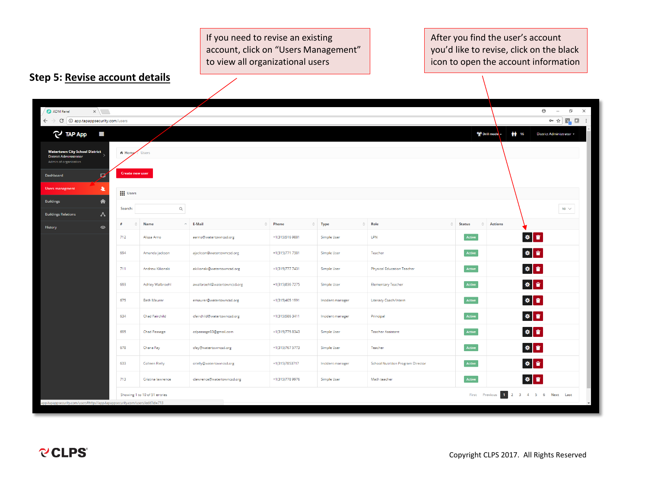If you need to revise an existing account, click on "Users Management" to view all organizational users

After you find the user's account you'd like to revise, click on the black icon to open the account information

page

## **Step 5: Revise account details**

| ADM Panel<br>$\times$                                                                           |                        |                               |                             |                 |                  |                                          |                             | $\Theta$<br>$\Box$<br>$\times$<br>$\overline{\phantom{m}}$                                                                                                                                                         |
|-------------------------------------------------------------------------------------------------|------------------------|-------------------------------|-----------------------------|-----------------|------------------|------------------------------------------|-----------------------------|--------------------------------------------------------------------------------------------------------------------------------------------------------------------------------------------------------------------|
| $\leftarrow$ $\rightarrow$ C $\mid$ 0 app.tapappsecurity.com/users                              |                        |                               |                             |                 |                  |                                          |                             | $\mathbf{O} \times \mathbf{O} \times \left[ \begin{array}{ccc} \mathbf{O} & \mathbf{O} & \mathbf{O} \end{array} \right] \times \left[ \begin{array}{ccc} \mathbf{O} & \mathbf{O} & \mathbf{O} \end{array} \right]$ |
| TAP App<br>m                                                                                    |                        |                               |                             |                 |                  |                                          | ((g) Drill mode -           | 静 16<br>District Administrator +                                                                                                                                                                                   |
| <b>Watertown City School District</b><br><b>District Administrator</b><br>Admin of organization | # Home                 | Users                         |                             |                 |                  |                                          |                             |                                                                                                                                                                                                                    |
| Ø<br>Dashboard                                                                                  | <b>Create new user</b> |                               |                             |                 |                  |                                          |                             |                                                                                                                                                                                                                    |
| 星<br>Users managment                                                                            | <b>III</b> Users       |                               |                             |                 |                  |                                          |                             |                                                                                                                                                                                                                    |
| €<br><b>Buildings</b>                                                                           | Search:                | $\hbox{O}_c$                  |                             |                 |                  |                                          |                             | 10 $\,\vee\,$                                                                                                                                                                                                      |
| ᄾ<br><b>Buildings Relations</b><br>$\circ$<br>History                                           | ்<br>#                 | <b>Name</b>                   | $\land$ E-Mail              | <b>C</b> Phone  | $\circ$ Type     | $\circ$ Role<br>$\hat{C}$                | <b>Status</b><br>$\Diamond$ | <b>Actions</b>                                                                                                                                                                                                     |
|                                                                                                 | 712                    | Alissa Arno                   | aarno@watertowncsd.org      | +1(315)5169881  | Simple User      | LPN                                      | Active                      | 参考                                                                                                                                                                                                                 |
|                                                                                                 | 694                    | Amanda jackson                | ajackson@watertowncsd.org   | +1(315)771 7381 | Simple User      | Teacher                                  | Active                      | ※ 章                                                                                                                                                                                                                |
|                                                                                                 | 711                    | Andrew Kilionski              | akilionski@watertowncsd.org | +1(315)777 7431 | Simple User      | <b>Physical Education Teacher</b>        | Active                      | 参考                                                                                                                                                                                                                 |
|                                                                                                 | 693                    | Ashley Walbroehl              | awalbroehl@watertowncsd.org | +1(315)836 7275 | Simple User      | <b>Elementary Teacher</b>                | Active                      | ※ 章                                                                                                                                                                                                                |
|                                                                                                 | 675                    | Beth Maurer                   | emaurer@watertowncsd.org    | +1(315)405 1991 | Incident manager | Literacy Coach/Intern                    | Active                      | 参考                                                                                                                                                                                                                 |
|                                                                                                 | 634                    | Chad Fairchild                | cfairchild@watertowncsd.org | +1(315)586 3411 | Incident manager | Principal                                | Active                      | ※ 章                                                                                                                                                                                                                |
|                                                                                                 | 695                    | <b>Chad Passage</b>           | cdpassage83@gmail.com       | +1(315)775 8343 | Simple User      | <b>Teacher Assistant</b>                 | Active                      | ※ 章                                                                                                                                                                                                                |
|                                                                                                 | 678                    | Chana Fay                     | cfay@watertowncsd.org       | +1(315)767 5773 | Simple User      | Teacher                                  | Active                      | ※ 章                                                                                                                                                                                                                |
|                                                                                                 | 633                    | <b>Colleen Rielly</b>         | crielly@watertowncsd.org    | +1(315)7853717  | Incident manager | <b>School Nutrition Program Director</b> | Active                      | ※ 章                                                                                                                                                                                                                |
|                                                                                                 | 713                    | Cristina lawrence             | clawrence@watertowncsd.org  | +1(315)778 9976 | Simple User      | Math teacher                             | Active                      | 参考                                                                                                                                                                                                                 |
| app.tapappsecurity.com/users#http://app.tapappsecurity.com/users/edit?id=713                    |                        | Showing 1 to 10 of 51 entries |                             |                 |                  |                                          | First Previous 1 2          | 3 4 5 6 Next Last                                                                                                                                                                                                  |
|                                                                                                 |                        |                               |                             |                 |                  |                                          |                             |                                                                                                                                                                                                                    |